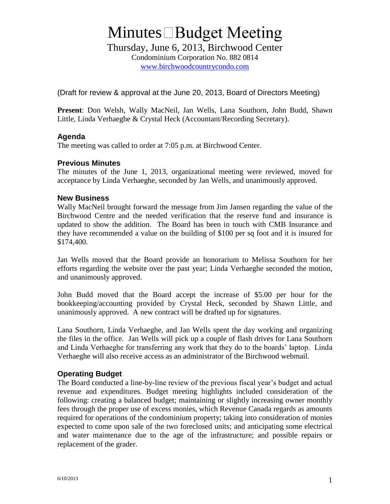## **Minutes** □ Budget Meeting

Thursday, June 6, 2013, Birchwood Center

Condominium Corporation No. 882 0814 www.birchwoodcountrycondo.com

(Draft for review & approval at the June 20, 2013, Board of Directors Meeting)

**Present**: Don Welsh, Wally MacNeil, Jan Wells, Lana Southorn, John Budd, Shawn Little, Linda Verhaeghe & Crystal Heck (Accountant/Recording Secretary).

#### **Agenda**

The meeting was called to order at 7:05 p.m. at Birchwood Center.

### **Previous Minutes**

The minutes of the June 1, 2013, organizational meeting were reviewed, moved for acceptance by Linda Verhaeghe, seconded by Jan Wells, and unanimously approved.

#### **New Business**

Wally MacNeil brought forward the message from Jim Jansen regarding the value of the Birchwood Centre and the needed verification that the reserve fund and insurance is updated to show the addition. The Board has been in touch with CMB Insurance and they have recommended a value on the building of \$100 per sq foot and it is insured for \$174,400.

Jan Wells moved that the Board provide an honorarium to Melissa Southorn for her efforts regarding the website over the past year; Linda Verhaeghe seconded the motion, and unanimously approved.

John Budd moved that the Board accept the increase of \$5.00 per hour for the bookkeeping/accounting provided by Crystal Heck, seconded by Shawn Little, and unanimously approved. A new contract will be drafted up for signatures.

Lana Southorn, Linda Verhaeghe, and Jan Wells spent the day working and organizing the files in the office. Jan Wells will pick up a couple of flash drives for Lana Southorn and Linda Verhaeghe for transferring any work that they do to the boards' laptop. Linda Verhaeghe will also receive access as an administrator of the Birchwood webmail.

#### **Operating Budget**

The Board conducted a line-by-line review of the previous fiscal year's budget and actual revenue and expenditures. Budget meeting highlights included consideration of the following: creating a balanced budget; maintaining or slightly increasing owner monthly fees through the proper use of excess monies, which Revenue Canada regards as amounts required for operations of the condominium property; taking into consideration of monies expected to come upon sale of the two foreclosed units; and anticipating some electrical and water maintenance due to the age of the infrastructure; and possible repairs or replacement of the grader.